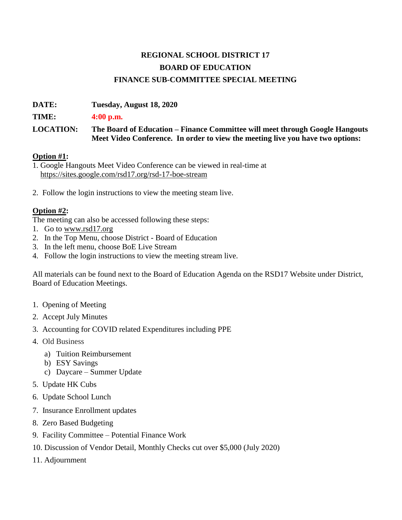## **REGIONAL SCHOOL DISTRICT 17 BOARD OF EDUCATION FINANCE SUB-COMMITTEE SPECIAL MEETING**

**DATE: Tuesday, August 18, 2020** 

**TIME: 4:00 p.m.**

**LOCATION: The Board of Education – Finance Committee will meet through Google Hangouts Meet Video Conference. In order to view the meeting live you have two options:** 

## **Option #1:**

1. Google Hangouts Meet Video Conference can be viewed in real-time at <https://sites.google.com/rsd17.org/rsd-17-boe-stream>

2. Follow the login instructions to view the meeting steam live.

## **Option #2:**

The meeting can also be accessed following these steps:

- 1. Go t[o](http://www.rsd17.org/) [www.rsd17.org](http://www.rsd17.org/)
- 2. In the Top Menu, choose District Board of Education
- 3. In the left menu, choose BoE Live Stream
- 4. Follow the login instructions to view the meeting stream live.

All materials can be found next to the Board of Education Agenda on the RSD17 Website under District, Board of Education Meetings.

- 1. Opening of Meeting
- 2. Accept July Minutes
- 3. Accounting for COVID related Expenditures including PPE
- 4. Old Business
	- a) Tuition Reimbursement
	- b) ESY Savings
	- c) Daycare Summer Update
- 5. Update HK Cubs
- 6. Update School Lunch
- 7. Insurance Enrollment updates
- 8. Zero Based Budgeting
- 9. Facility Committee Potential Finance Work
- 10. Discussion of Vendor Detail, Monthly Checks cut over \$5,000 (July 2020)
- 11. Adjournment